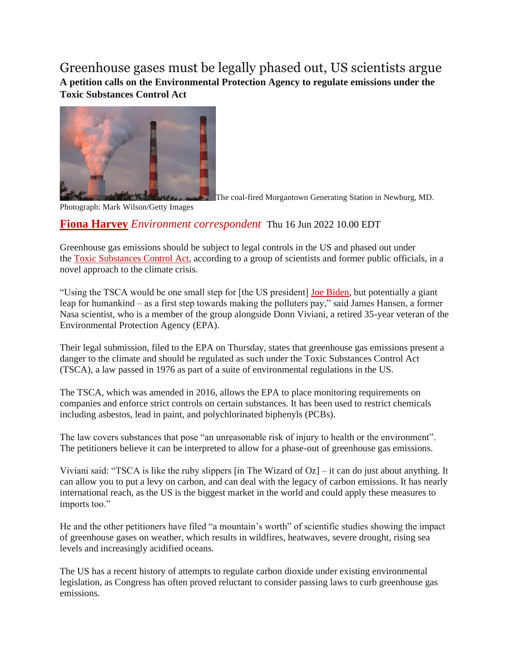Greenhouse gases must be legally phased out, US scientists argue **A petition calls on the Environmental Protection Agency to regulate emissions under the Toxic Substances Control Act**



The coal-fired Morgantown Generating Station in Newburg, MD.

Photograph: Mark Wilson/Getty Images

## **Fiona [Harvey](https://www.theguardian.com/profile/fiona-harvey)** *Environment correspondent* Thu 16 Jun 2022 10.00 EDT

Greenhouse gas emissions should be subject to legal controls in the US and phased out under the Toxic [Substances](https://www.epa.gov/laws-regulations/summary-toxic-substances-control-act) Control Act, according to a group of scientists and former public officials, in a novel approach to the climate crisis.

"Using the TSCA would be one small step for [the US president] Joe [Biden,](https://www.theguardian.com/us-news/joebiden) but potentially a giant leap for humankind – as a first step towards making the polluters pay," said James Hansen, a former Nasa scientist, who is a member of the group alongside Donn Viviani, a retired 35-year veteran of the Environmental Protection Agency (EPA).

Their legal submission, filed to the EPA on Thursday, states that greenhouse gas emissions present a danger to the climate and should be regulated as such under the Toxic Substances Control Act (TSCA), a law passed in 1976 as part of a suite of environmental regulations in the US.

The TSCA, which was amended in 2016, allows the EPA to place monitoring requirements on companies and enforce strict controls on certain substances. It has been used to restrict chemicals including asbestos, lead in paint, and polychlorinated biphenyls (PCBs).

The law covers substances that pose "an unreasonable risk of injury to health or the environment". The petitioners believe it can be interpreted to allow for a phase-out of greenhouse gas emissions.

Viviani said: "TSCA is like the ruby slippers [in The Wizard of Oz] – it can do just about anything. It can allow you to put a levy on carbon, and can deal with the legacy of carbon emissions. It has nearly international reach, as the US is the biggest market in the world and could apply these measures to imports too."

He and the other petitioners have filed "a mountain's worth" of scientific studies showing the impact of greenhouse gases on weather, which results in wildfires, heatwaves, severe drought, rising sea levels and increasingly acidified oceans.

The US has a recent history of attempts to regulate carbon dioxide under existing environmental legislation, as Congress has often proved reluctant to consider passing laws to curb greenhouse gas emissions.